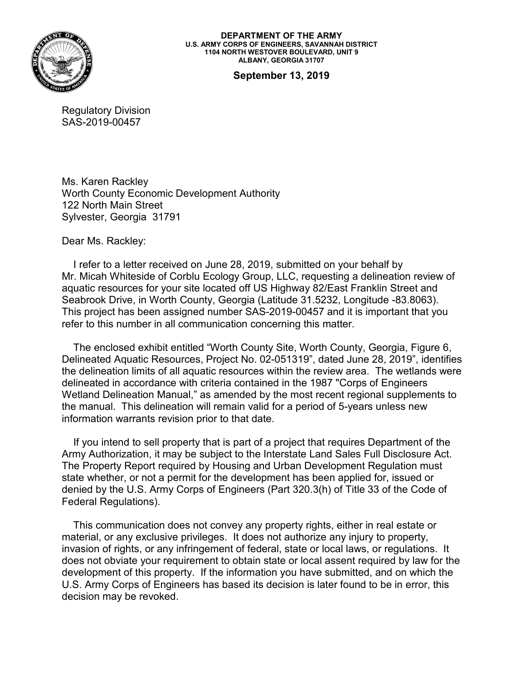

**DEPARTMENT OF THE ARMY U.S. ARMY CORPS OF ENGINEERS, SAVANNAH DISTRICT 1104 NORTH WESTOVER BOULEVARD, UNIT 9 ALBANY, GEORGIA 31707**

**September 13, 2019**

Regulatory Division SAS-2019-00457

Ms. Karen Rackley Worth County Economic Development Authority 122 North Main Street Sylvester, Georgia 31791

Dear Ms. Rackley:

 I refer to a letter received on June 28, 2019, submitted on your behalf by Mr. Micah Whiteside of Corblu Ecology Group, LLC, requesting a delineation review of aquatic resources for your site located off US Highway 82/East Franklin Street and Seabrook Drive, in Worth County, Georgia (Latitude 31.5232, Longitude -83.8063). This project has been assigned number SAS-2019-00457 and it is important that you refer to this number in all communication concerning this matter.

 The enclosed exhibit entitled "Worth County Site, Worth County, Georgia, Figure 6, Delineated Aquatic Resources, Project No. 02-051319", dated June 28, 2019", identifies the delineation limits of all aquatic resources within the review area. The wetlands were delineated in accordance with criteria contained in the 1987 "Corps of Engineers Wetland Delineation Manual," as amended by the most recent regional supplements to the manual. This delineation will remain valid for a period of 5-years unless new information warrants revision prior to that date.

 If you intend to sell property that is part of a project that requires Department of the Army Authorization, it may be subject to the Interstate Land Sales Full Disclosure Act. The Property Report required by Housing and Urban Development Regulation must state whether, or not a permit for the development has been applied for, issued or denied by the U.S. Army Corps of Engineers (Part 320.3(h) of Title 33 of the Code of Federal Regulations).

 This communication does not convey any property rights, either in real estate or material, or any exclusive privileges. It does not authorize any injury to property, invasion of rights, or any infringement of federal, state or local laws, or regulations. It does not obviate your requirement to obtain state or local assent required by law for the development of this property. If the information you have submitted, and on which the U.S. Army Corps of Engineers has based its decision is later found to be in error, this decision may be revoked.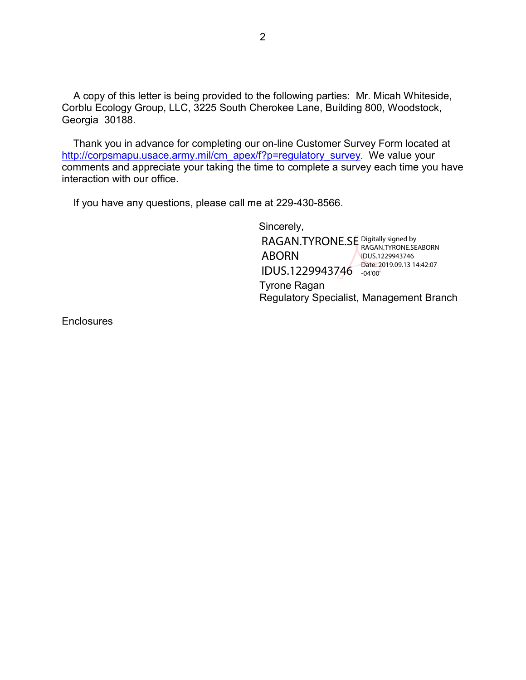A copy of this letter is being provided to the following parties: Mr. Micah Whiteside, Corblu Ecology Group, LLC, 3225 South Cherokee Lane, Building 800, Woodstock, Georgia 30188.

 Thank you in advance for completing our on-line Customer Survey Form located at [http://corpsmapu.usace.army.mil/cm\\_apex/f?p=regulatory\\_survey](http://corpsmapu.usace.army.mil/cm_apex/f?p=regulatory_survey). We value your comments and appreciate your taking the time to complete a survey each time you have interaction with our office.

If you have any questions, please call me at 229-430-8566.

 Sincerely, Tyrone Ragan Regulatory Specialist, Management Branch RAGAN.TYRONE.SE Digitally signed by ABORN IDUS.1229943746 Date: 2019.09.13 14:42:07 RAGAN.TYRONE.SEABORN IDUS.1229943746 -04'00'

**Enclosures**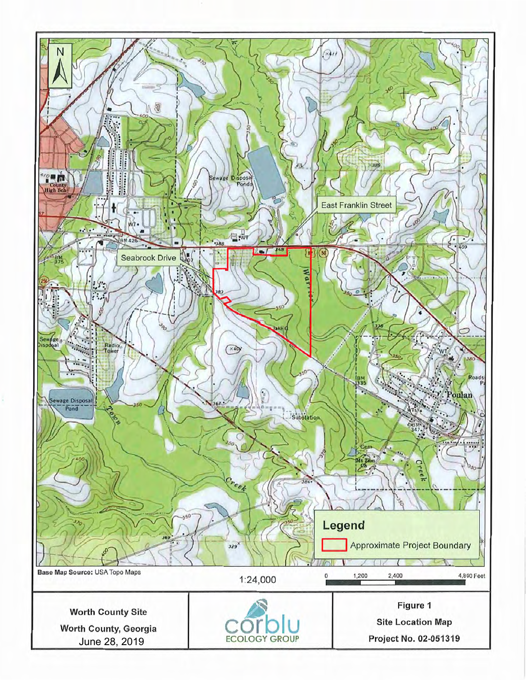